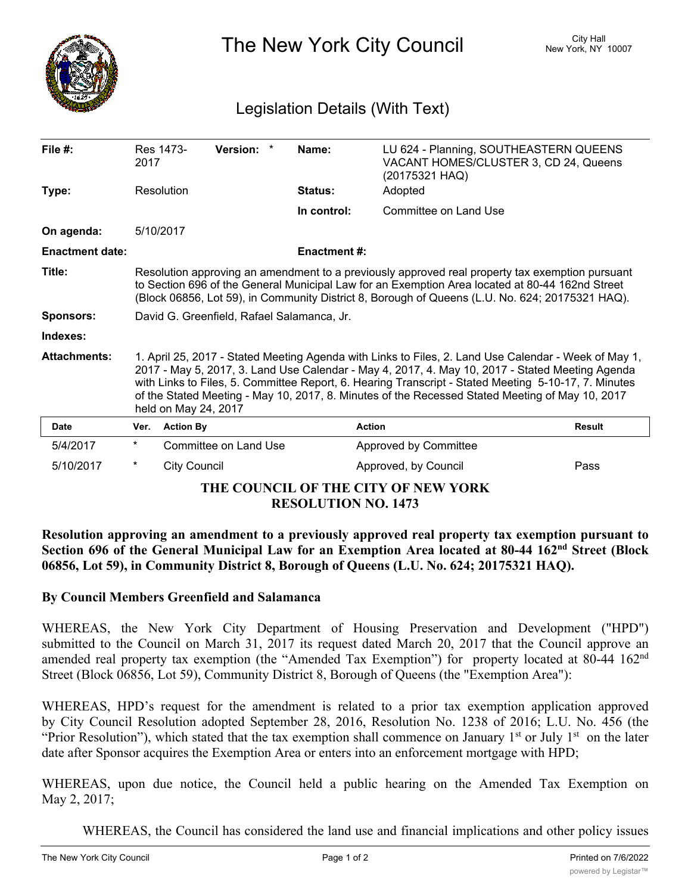

The New York City Council New York, NY 10007

## Legislation Details (With Text)

| File $#$ :                          | 2017                                                                                                                                                                                                                                                                                                                                                                                                                                       | Version: *<br>Res 1473- |  | Name:               | LU 624 - Planning, SOUTHEASTERN QUEENS<br>VACANT HOMES/CLUSTER 3, CD 24, Queens<br>(20175321 HAQ) |               |
|-------------------------------------|--------------------------------------------------------------------------------------------------------------------------------------------------------------------------------------------------------------------------------------------------------------------------------------------------------------------------------------------------------------------------------------------------------------------------------------------|-------------------------|--|---------------------|---------------------------------------------------------------------------------------------------|---------------|
| Type:                               |                                                                                                                                                                                                                                                                                                                                                                                                                                            | Resolution              |  | <b>Status:</b>      | Adopted                                                                                           |               |
|                                     |                                                                                                                                                                                                                                                                                                                                                                                                                                            |                         |  | In control:         | Committee on Land Use                                                                             |               |
| On agenda:                          |                                                                                                                                                                                                                                                                                                                                                                                                                                            | 5/10/2017               |  |                     |                                                                                                   |               |
| <b>Enactment date:</b>              |                                                                                                                                                                                                                                                                                                                                                                                                                                            |                         |  | <b>Enactment #:</b> |                                                                                                   |               |
| Title:                              | Resolution approving an amendment to a previously approved real property tax exemption pursuant<br>to Section 696 of the General Municipal Law for an Exemption Area located at 80-44 162nd Street<br>(Block 06856, Lot 59), in Community District 8, Borough of Queens (L.U. No. 624; 20175321 HAQ).                                                                                                                                      |                         |  |                     |                                                                                                   |               |
| <b>Sponsors:</b>                    | David G. Greenfield, Rafael Salamanca, Jr.                                                                                                                                                                                                                                                                                                                                                                                                 |                         |  |                     |                                                                                                   |               |
| Indexes:                            |                                                                                                                                                                                                                                                                                                                                                                                                                                            |                         |  |                     |                                                                                                   |               |
| <b>Attachments:</b>                 | 1. April 25, 2017 - Stated Meeting Agenda with Links to Files, 2. Land Use Calendar - Week of May 1,<br>2017 - May 5, 2017, 3. Land Use Calendar - May 4, 2017, 4. May 10, 2017 - Stated Meeting Agenda<br>with Links to Files, 5. Committee Report, 6. Hearing Transcript - Stated Meeting 5-10-17, 7. Minutes<br>of the Stated Meeting - May 10, 2017, 8. Minutes of the Recessed Stated Meeting of May 10, 2017<br>held on May 24, 2017 |                         |  |                     |                                                                                                   |               |
| Date                                | Ver.                                                                                                                                                                                                                                                                                                                                                                                                                                       | <b>Action By</b>        |  | <b>Action</b>       |                                                                                                   | <b>Result</b> |
| 5/4/2017                            | $^{\star}$                                                                                                                                                                                                                                                                                                                                                                                                                                 | Committee on Land Use   |  |                     | Approved by Committee                                                                             |               |
| 5/10/2017                           | $^\star$                                                                                                                                                                                                                                                                                                                                                                                                                                   | <b>City Council</b>     |  |                     | Approved, by Council                                                                              | Pass          |
| THE COUNCIL OF THE CITY OF NEW YORK |                                                                                                                                                                                                                                                                                                                                                                                                                                            |                         |  |                     |                                                                                                   |               |

**RESOLUTION NO. 1473**

**Resolution approving an amendment to a previously approved real property tax exemption pursuant to Section 696 of the General Municipal Law for an Exemption Area located at 80-44 162nd Street (Block 06856, Lot 59), in Community District 8, Borough of Queens (L.U. No. 624; 20175321 HAQ).**

## **By Council Members Greenfield and Salamanca**

WHEREAS, the New York City Department of Housing Preservation and Development ("HPD") submitted to the Council on March 31, 2017 its request dated March 20, 2017 that the Council approve an amended real property tax exemption (the "Amended Tax Exemption") for property located at 80-44 162<sup>nd</sup> Street (Block 06856, Lot 59), Community District 8, Borough of Queens (the "Exemption Area"):

WHEREAS, HPD's request for the amendment is related to a prior tax exemption application approved by City Council Resolution adopted September 28, 2016, Resolution No. 1238 of 2016; L.U. No. 456 (the "Prior Resolution"), which stated that the tax exemption shall commence on January  $1<sup>st</sup>$  or July  $1<sup>st</sup>$  on the later date after Sponsor acquires the Exemption Area or enters into an enforcement mortgage with HPD;

WHEREAS, upon due notice, the Council held a public hearing on the Amended Tax Exemption on May 2, 2017;

WHEREAS, the Council has considered the land use and financial implications and other policy issues